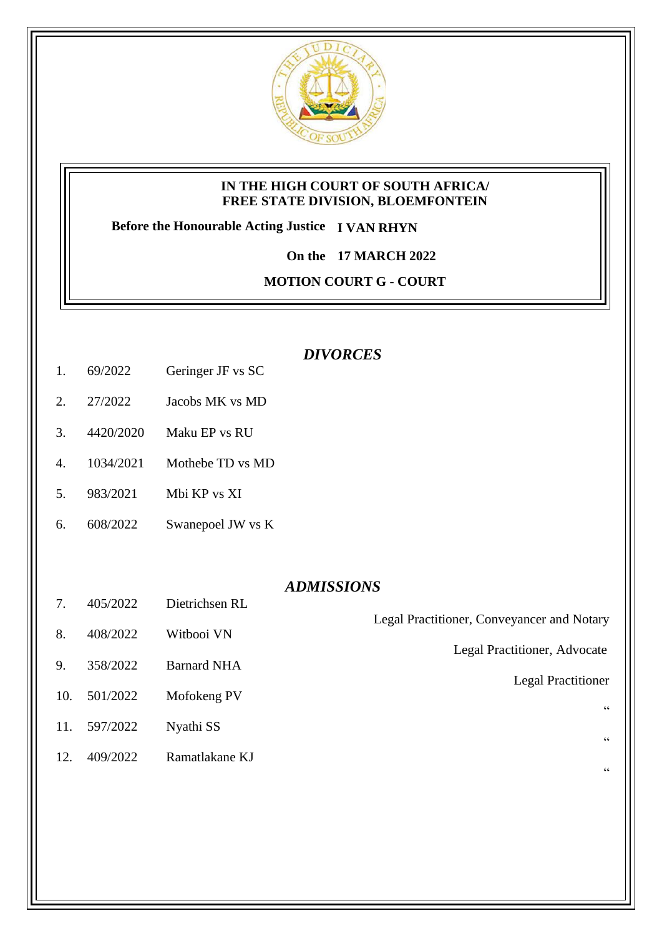

### **IN THE HIGH COURT OF SOUTH AFRICA/ FREE STATE DIVISION, BLOEMFONTEIN**

**Before the Honourable Acting Justice I VAN RHYN**

**On the 17 MARCH 2022**

**MOTION COURT G - COURT** 

## *DIVORCES*

- 1. 69/2022 Geringer JF vs SC
- 2. 27/2022 Jacobs MK vs MD
- 3. 4420/2020 Maku EP vs RU
- 4. 1034/2021 Mothebe TD vs MD
- 5. 983/2021 Mbi KP vs XI
- 6. 608/2022 Swanepoel JW vs K

### *ADMISSIONS*

Legal Practitioner, Conveyancer and Notary

Legal Practitioner, Advocate

Legal Practitioner

"

"

"

- 7. 405/2022 Dietrichsen RL
- 8. 408/2022 Witbooi VN
- 9. 358/2022 Barnard NHA
- 10. 501/2022 Mofokeng PV
- 11. 597/2022 Nyathi SS
- 12. 409/2022 Ramatlakane KJ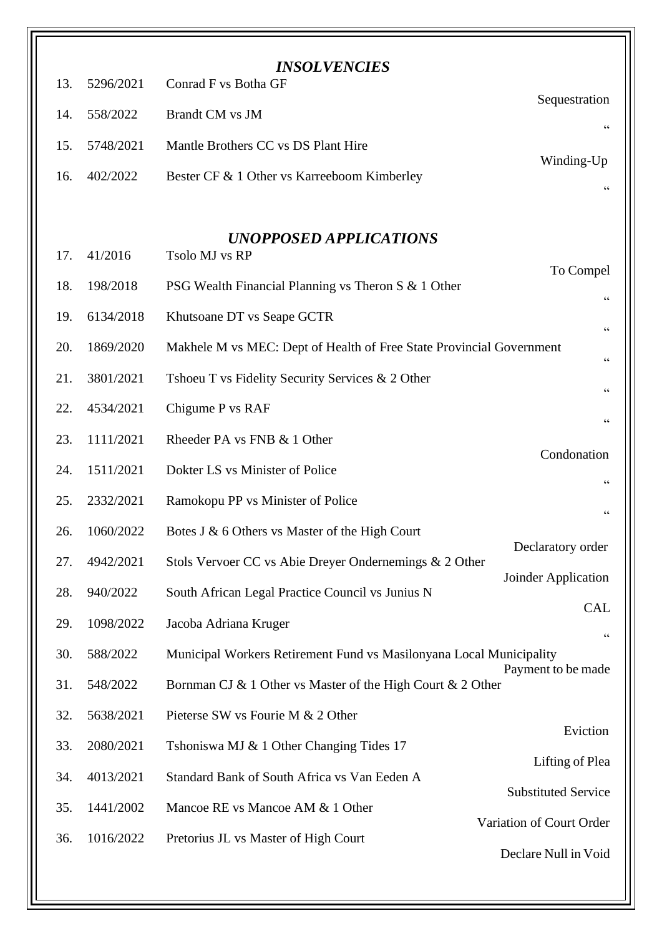|     |           | <b>INSOLVENCIES</b>                                                                      |                                |  |
|-----|-----------|------------------------------------------------------------------------------------------|--------------------------------|--|
| 13. | 5296/2021 | Conrad F vs Botha GF                                                                     | Sequestration                  |  |
| 14. | 558/2022  | <b>Brandt CM</b> vs JM                                                                   | $\mbox{\bf G}$                 |  |
| 15. | 5748/2021 | Mantle Brothers CC vs DS Plant Hire                                                      |                                |  |
| 16. | 402/2022  | Bester CF & 1 Other vs Karreeboom Kimberley                                              | Winding-Up<br>$\mbox{\bf G}$   |  |
|     |           |                                                                                          |                                |  |
| 17. | 41/2016   | <b>UNOPPOSED APPLICATIONS</b><br>Tsolo MJ vs RP                                          |                                |  |
|     |           |                                                                                          | To Compel                      |  |
| 18. | 198/2018  | PSG Wealth Financial Planning vs Theron S & 1 Other                                      | $\mbox{\bf G}$                 |  |
| 19. | 6134/2018 | Khutsoane DT vs Seape GCTR                                                               | 66                             |  |
| 20. | 1869/2020 | Makhele M vs MEC: Dept of Health of Free State Provincial Government<br>$\zeta \, \zeta$ |                                |  |
| 21. | 3801/2021 | Tshoeu T vs Fidelity Security Services & 2 Other                                         | $\mbox{\bf G}$                 |  |
| 22. | 4534/2021 | Chigume P vs RAF                                                                         | $\zeta$ $\zeta$                |  |
| 23. | 1111/2021 | Rheeder PA vs FNB & 1 Other                                                              |                                |  |
| 24. | 1511/2021 | Dokter LS vs Minister of Police                                                          | Condonation<br>$\zeta$ $\zeta$ |  |
| 25. | 2332/2021 | Ramokopu PP vs Minister of Police                                                        | $\mbox{\bf G}$                 |  |
| 26. | 1060/2022 | Botes J & 6 Others vs Master of the High Court                                           |                                |  |
| 27. | 4942/2021 | Stols Vervoer CC vs Abie Dreyer Ondernemings & 2 Other                                   | Declaratory order              |  |
| 28. | 940/2022  | South African Legal Practice Council vs Junius N                                         | Joinder Application            |  |
| 29. | 1098/2022 | Jacoba Adriana Kruger                                                                    | <b>CAL</b>                     |  |
| 30. | 588/2022  | Municipal Workers Retirement Fund vs Masilonyana Local Municipality                      | 66<br>Payment to be made       |  |
| 31. | 548/2022  | Bornman CJ & 1 Other vs Master of the High Court & 2 Other                               |                                |  |
| 32. | 5638/2021 | Pieterse SW vs Fourie M & 2 Other                                                        |                                |  |
| 33. | 2080/2021 | Tshoniswa MJ & 1 Other Changing Tides 17                                                 | Eviction                       |  |
| 34. | 4013/2021 | Standard Bank of South Africa vs Van Eeden A                                             | Lifting of Plea                |  |
| 35. | 1441/2002 | Mancoe RE vs Mancoe AM & 1 Other                                                         | <b>Substituted Service</b>     |  |
| 36. | 1016/2022 | Pretorius JL vs Master of High Court                                                     | Variation of Court Order       |  |
|     |           |                                                                                          | Declare Null in Void           |  |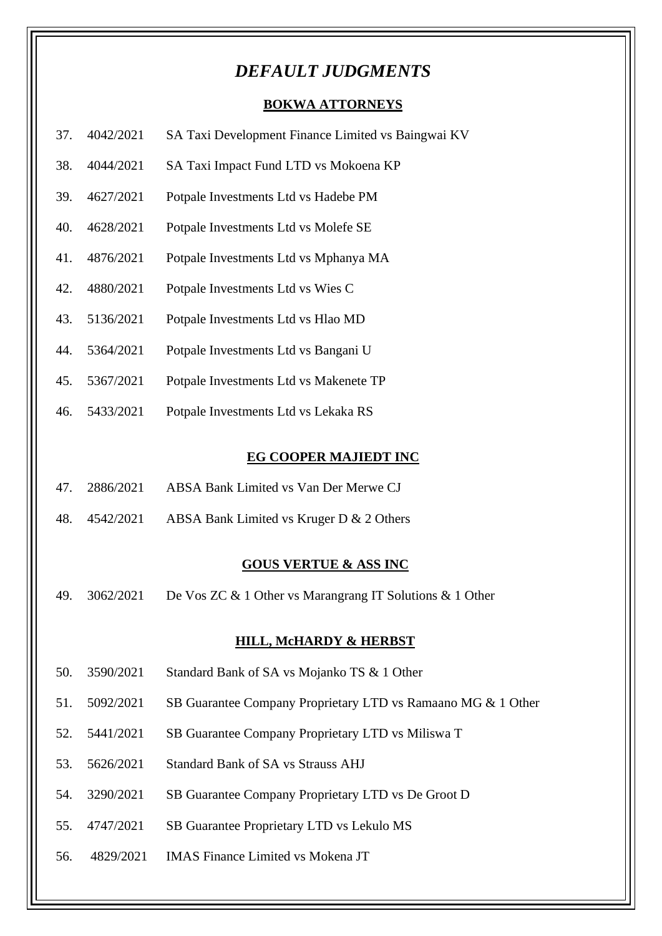# *DEFAULT JUDGMENTS*

### **BOKWA ATTORNEYS**

- 37. 4042/2021 SA Taxi Development Finance Limited vs Baingwai KV
- 38. 4044/2021 SA Taxi Impact Fund LTD vs Mokoena KP
- 39. 4627/2021 Potpale Investments Ltd vs Hadebe PM
- 40. 4628/2021 Potpale Investments Ltd vs Molefe SE
- 41. 4876/2021 Potpale Investments Ltd vs Mphanya MA
- 42. 4880/2021 Potpale Investments Ltd vs Wies C
- 43. 5136/2021 Potpale Investments Ltd vs Hlao MD
- 44. 5364/2021 Potpale Investments Ltd vs Bangani U
- 45. 5367/2021 Potpale Investments Ltd vs Makenete TP
- 46. 5433/2021 Potpale Investments Ltd vs Lekaka RS

#### **EG COOPER MAJIEDT INC**

- 47. 2886/2021 ABSA Bank Limited vs Van Der Merwe CJ
- 48. 4542/2021 ABSA Bank Limited vs Kruger D & 2 Others

#### **GOUS VERTUE & ASS INC**

49. 3062/2021 De Vos ZC & 1 Other vs Marangrang IT Solutions & 1 Other

#### **HILL, McHARDY & HERBST**

- 50. 3590/2021 Standard Bank of SA vs Mojanko TS & 1 Other
- 51. 5092/2021 SB Guarantee Company Proprietary LTD vs Ramaano MG & 1 Other
- 52. 5441/2021 SB Guarantee Company Proprietary LTD vs Miliswa T
- 53. 5626/2021 Standard Bank of SA vs Strauss AHJ
- 54. 3290/2021 SB Guarantee Company Proprietary LTD vs De Groot D
- 55. 4747/2021 SB Guarantee Proprietary LTD vs Lekulo MS
- 56. 4829/2021 IMAS Finance Limited vs Mokena JT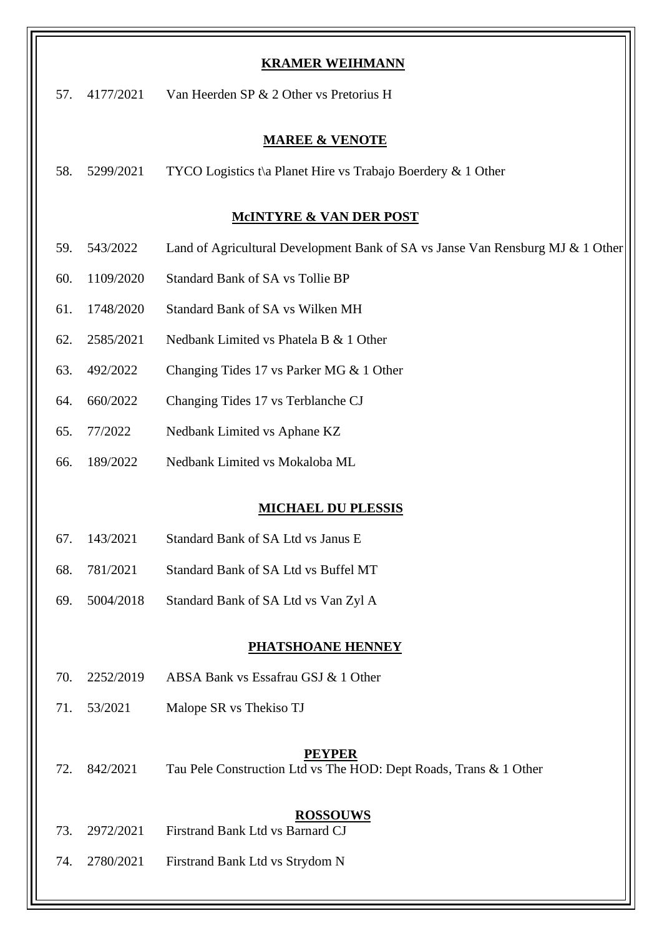| <b>KRAMER WEIHMANN</b>             |           |                                                                                    |  |  |  |
|------------------------------------|-----------|------------------------------------------------------------------------------------|--|--|--|
| 57.                                | 4177/2021 | Van Heerden SP & 2 Other vs Pretorius H                                            |  |  |  |
| <b>MAREE &amp; VENOTE</b>          |           |                                                                                    |  |  |  |
| 58.                                | 5299/2021 | TYCO Logistics t\a Planet Hire vs Trabajo Boerdery $\&$ 1 Other                    |  |  |  |
|                                    |           |                                                                                    |  |  |  |
| <b>MCINTYRE &amp; VAN DER POST</b> |           |                                                                                    |  |  |  |
| 59.                                | 543/2022  | Land of Agricultural Development Bank of SA vs Janse Van Rensburg MJ & 1 Other     |  |  |  |
| 60.                                | 1109/2020 | <b>Standard Bank of SA vs Tollie BP</b>                                            |  |  |  |
| 61.                                | 1748/2020 | Standard Bank of SA vs Wilken MH                                                   |  |  |  |
| 62.                                | 2585/2021 | Nedbank Limited vs Phatela B & 1 Other                                             |  |  |  |
| 63.                                | 492/2022  | Changing Tides 17 vs Parker MG & 1 Other                                           |  |  |  |
| 64.                                | 660/2022  | Changing Tides 17 vs Terblanche CJ                                                 |  |  |  |
| 65.                                | 77/2022   | Nedbank Limited vs Aphane KZ                                                       |  |  |  |
| 66.                                | 189/2022  | Nedbank Limited vs Mokaloba ML                                                     |  |  |  |
| <b>MICHAEL DU PLESSIS</b>          |           |                                                                                    |  |  |  |
| 67.                                | 143/2021  | Standard Bank of SA Ltd vs Janus E                                                 |  |  |  |
| 68.                                | 781/2021  | Standard Bank of SA Ltd vs Buffel MT                                               |  |  |  |
| 69.                                | 5004/2018 | Standard Bank of SA Ltd vs Van Zyl A                                               |  |  |  |
| <b>PHATSHOANE HENNEY</b>           |           |                                                                                    |  |  |  |
| 70.                                | 2252/2019 | ABSA Bank vs Essafrau GSJ & 1 Other                                                |  |  |  |
| 71.                                | 53/2021   | Malope SR vs Thekiso TJ                                                            |  |  |  |
|                                    |           |                                                                                    |  |  |  |
| 72.                                | 842/2021  | <b>PEYPER</b><br>Tau Pele Construction Ltd vs The HOD: Dept Roads, Trans & 1 Other |  |  |  |
| 73.                                | 2972/2021 | <b>ROSSOUWS</b><br>Firstrand Bank Ltd vs Barnard CJ                                |  |  |  |
| 74.                                | 2780/2021 | Firstrand Bank Ltd vs Strydom N                                                    |  |  |  |

┚